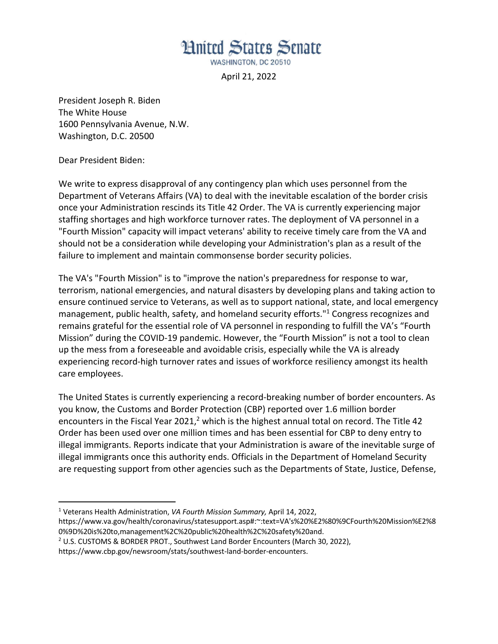## **Hnited States Senate**

WASHINGTON, DC 20510

April 21, 2022

President Joseph R. Biden The White House 1600 Pennsylvania Avenue, N.W. Washington, D.C. 20500

Dear President Biden:

We write to express disapproval of any contingency plan which uses personnel from the Department of Veterans Affairs (VA) to deal with the inevitable escalation of the border crisis once your Administration rescinds its Title 42 Order. The VA is currently experiencing major staffing shortages and high workforce turnover rates. The deployment of VA personnel in a "Fourth Mission" capacity will impact veterans' ability to receive timely care from the VA and should not be a consideration while developing your Administration's plan as a result of the failure to implement and maintain commonsense border security policies.

The VA's "Fourth Mission" is to "improve the nation's preparedness for response to war, terrorism, national emergencies, and natural disasters by developing plans and taking action to ensure continued service to Veterans, as well as to support national, state, and local emergency management, public health, safety, and homeland security efforts."<sup>1</sup> Congress recognizes and remains grateful for the essential role of VA personnel in responding to fulfill the VA's "Fourth Mission" during the COVID-19 pandemic. However, the "Fourth Mission" is not a tool to clean up the mess from a foreseeable and avoidable crisis, especially while the VA is already experiencing record-high turnover rates and issues of workforce resiliency amongst its health care employees.

The United States is currently experiencing a record-breaking number of border encounters. As you know, the Customs and Border Protection (CBP) reported over 1.6 million border encounters in the Fiscal Year 2021,<sup>2</sup> which is the highest annual total on record. The Title 42 Order has been used over one million times and has been essential for CBP to deny entry to illegal immigrants. Reports indicate that your Administration is aware of the inevitable surge of illegal immigrants once this authority ends. Officials in the Department of Homeland Security are requesting support from other agencies such as the Departments of State, Justice, Defense,

<sup>1</sup> Veterans Health Administration, *VA Fourth Mission Summary,* April 14, 2022,

https://www.va.gov/health/coronavirus/statesupport.asp#:~:text=VA's%20%E2%80%9CFourth%20Mission%E2%8 0%9D%20is%20to,management%2C%20public%20health%2C%20safety%20and.

<sup>2</sup> U.S. CUSTOMS & BORDER PROT., Southwest Land Border Encounters (March 30, 2022),

https://www.cbp.gov/newsroom/stats/southwest-land-border-encounters.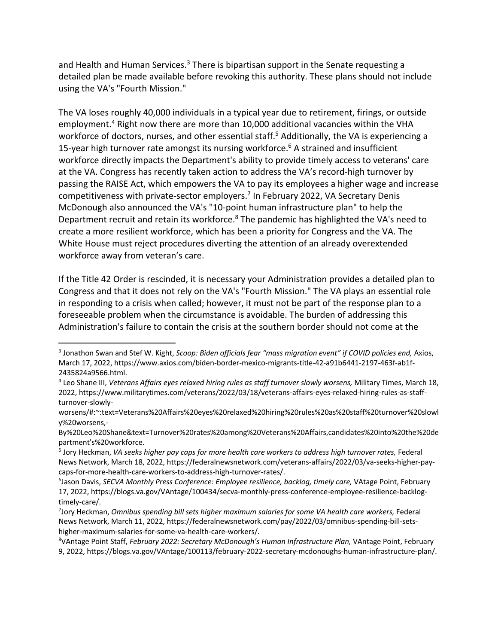and Health and Human Services. $3$  There is bipartisan support in the Senate requesting a detailed plan be made available before revoking this authority. These plans should not include using the VA's "Fourth Mission."

The VA loses roughly 40,000 individuals in a typical year due to retirement, firings, or outside employment.4 Right now there are more than 10,000 additional vacancies within the VHA workforce of doctors, nurses, and other essential staff.<sup>5</sup> Additionally, the VA is experiencing a 15-year high turnover rate amongst its nursing workforce.<sup>6</sup> A strained and insufficient workforce directly impacts the Department's ability to provide timely access to veterans' care at the VA. Congress has recently taken action to address the VA's record-high turnover by passing the RAISE Act, which empowers the VA to pay its employees a higher wage and increase competitiveness with private-sector employers.7 In February 2022, VA Secretary Denis McDonough also announced the VA's "10-point human infrastructure plan" to help the Department recruit and retain its workforce.<sup>8</sup> The pandemic has highlighted the VA's need to create a more resilient workforce, which has been a priority for Congress and the VA. The White House must reject procedures diverting the attention of an already overextended workforce away from veteran's care.

If the Title 42 Order is rescinded, it is necessary your Administration provides a detailed plan to Congress and that it does not rely on the VA's "Fourth Mission." The VA plays an essential role in responding to a crisis when called; however, it must not be part of the response plan to a foreseeable problem when the circumstance is avoidable. The burden of addressing this Administration's failure to contain the crisis at the southern border should not come at the

<sup>&</sup>lt;sup>3</sup> Jonathon Swan and Stef W. Kight, *Scoop: Biden officials fear "mass migration event" if COVID policies end, Axios,* March 17, 2022, https://www.axios.com/biden-border-mexico-migrants-title-42-a91b6441-2197-463f-ab1f-

<sup>2435824</sup>a9566.html.<br><sup>4</sup> Leo Shane III, *Veterans Affairs eyes relaxed hiring rules as staff turnover slowly worsens, Military Times, March 18,* 2022, https://www.militarytimes.com/veterans/2022/03/18/veterans-affairs-eyes-relaxed-hiring-rules-as-staffturnover-slowly-

worsens/#:~:text=Veterans%20Affairs%20eyes%20relaxed%20hiring%20rules%20as%20staff%20turnover%20slowl y%20worsens,-

By%20Leo%20Shane&text=Turnover%20rates%20among%20Veterans%20Affairs,candidates%20into%20the%20de partment's%20workforce.

<sup>5</sup> Jory Heckman, *VA seeks higher pay caps for more health care workers to address high turnover rates,* Federal News Network, March 18, 2022, https://federalnewsnetwork.com/veterans-affairs/2022/03/va-seeks-higher-paycaps-for-more-health-care-workers-to-address-high-turnover-rates/.

<sup>6</sup> Jason Davis, *SECVA Monthly Press Conference: Employee resilience, backlog, timely care,* VAtage Point, February 17, 2022, https://blogs.va.gov/VAntage/100434/secva-monthly-press-conference-employee-resilience-backlogtimely-care/.

<sup>7</sup> Jory Heckman, *Omnibus spending bill sets higher maximum salaries for some VA health care workers,* Federal News Network, March 11, 2022, https://federalnewsnetwork.com/pay/2022/03/omnibus-spending-bill-setshigher-maximum-salaries-for-some-va-health-care-workers/. 8

<sup>&</sup>lt;sup>8</sup>VAntage Point Staff, *February 2022: Secretary McDonough's Human Infrastructure Plan, VAntage Point, February* 9, 2022, https://blogs.va.gov/VAntage/100113/february-2022-secretary-mcdonoughs-human-infrastructure-plan/.